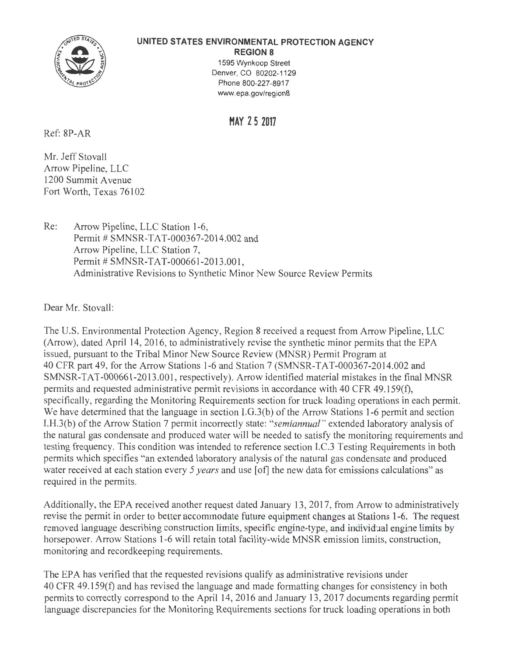

### **UNITED STATES ENVIRONMENTAL PROTECTION AGENCY**

**REGION 8**  1595 Wynkoop Street Denver, CO 80202-1129 Phone 800-227-8917 www.epa.gov/region8

**MAY 2 5 2017** 

Ref: 8P-AR

Mr. Jeff Stovall Arrow Pipeline, LLC 1200 Summit Avenue Fort Worth, Texas 76102

Re: Arrow Pipeline, LLC Station 1-6, Permit # SMNSR-TAT-000367-2014.002 and Arrow Pipeline, LLC Station 7, Permit # SMNSR-TAT-000661-2013.001, Administrative Revisions to Synthetic Minor New Source Review Permits

Dear Mr. Stovall:

The U.S. Environmental Protection Agency, Region 8 received a request from Arrow Pipeline, LLC (Arrow), dated April 14, 2016, to administratively revise the synthetic minor permits that the EPA issued, pursuant to the Tribal Minor New Source Review (MNSR) Permit Program at 40 CFR part 49, for the Arrow Stations 1-6 and Station 7 (SMNSR-TAT-000367-2014.002 and SMNSR-TAT-000661-2013.001, respectively). Arrow identified material mistakes in the final MNSR permits and requested administrative permit revisions in accordance with 40 CFR 49 .159(f), specifically, regarding the Monitoring Requirements section for truck loading operations in each permit. We have determined that the language in section I.G.3(b) of the Arrow Stations 1-6 permit and section l.H.3(b) of the Arrow Station 7 permit incorrectly state: *"semiannual "* extended laboratory analysis of the natural gas condensate and produced water will be needed to satisfy the monitoring requirements and testing frequency. This condition was intended to reference section I.C.3 Testing Requirements in both permits which specifies "an extended laboratory analysis of the natural gas condensate and produced water received at each station every *5 years* and use [ of] the new data for emissions calculations" as required in the permits.

Additionally, the EPA received another request dated January 13, 2017, from Arrow to administratively revise the permit in order to better accommodate future equipment changes at Stations 1-6. The request removed language describing construction limits, specific engine-type, and individual engine limits by horsepower. Arrow Stations 1-6 will retain total facility-wide MNSR emission limits, construction, monitoring and recordkeeping requirements.

The EPA has verified that the requested revisions qualify as administrative revisions under 40 CFR 49.159(f) and has revised the language and made formatting changes for consistency in both permits to correctly correspond to the April 14, 2016 and January 13, 2017 documents regarding permit language discrepancies for the Monitoring Requirements sections for truck loading operations in both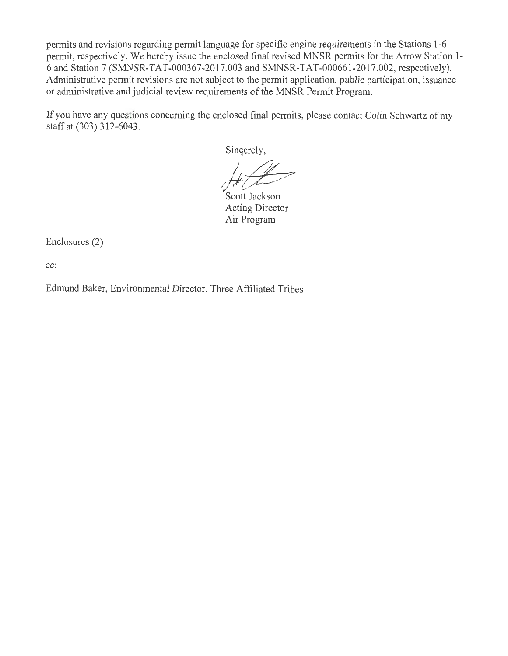permits and revisions regarding permit language for specific engine requirements in the Stations 1-6 permit, respectively. We hereby issue the enclosed final revised MNSR permits for the Arrow Station 1- 6 and Station 7 (SMNSR-TAT-000367-2017.003 and SMNSR-TAT-000661-2017.002, respectively). Administrative permit revisions are not subject to the permit application, public participation, issuance or administrative and judicial review requirements of the MNSR Permit Program.

If you have any questions concerning the enclosed final permits, please contact Colin Schwartz of my staff at (303) 312-6043.

Singerely,

Scott Jackson Acting Director Air Program

Enclosures (2)

**cc:** 

Edmund Baker, Environmental Director, Three Affiliated Tribes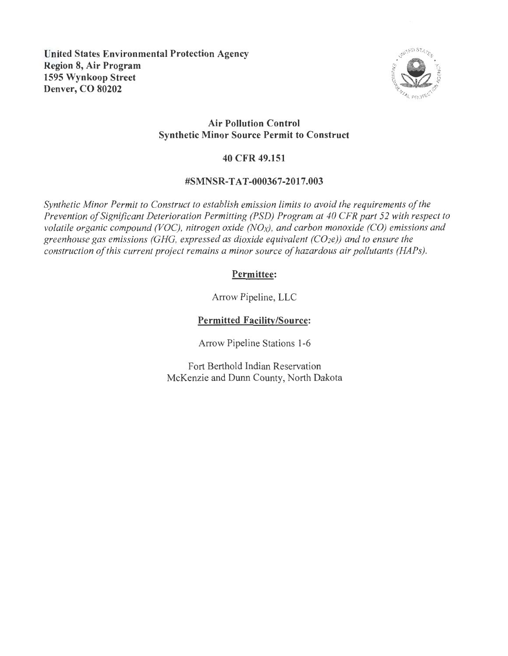

## **Air Pollution Control Synthetic Minor Source Permit to Construct**

## **40 CFR 49.151**

## **#SMNSR-TAT-000367-2017.003**

*Synthetic Minor Permit to Construct to establish emission limits to avoid the requirements of the Prevention of Significant Deterioration Permitting (PSD) Program at 40 CFR part 52 with respect to volatile organic compound (VOC), nitrogen oxide (NOx), and carbon monoxide (CO) emissions and greenhouse gas emissions (GHG, expressed as dioxide equivalent (CO2e)) and to ensure the construction of this current project remains a minor source of hazardous air pollutants (HAPs).* 

# **Permittee:**

Arrow Pipeline, LLC

# **Permitted Facility/Source:**

Arrow Pipeline Stations 1-6

Fort Berthold Indian Reservation McKenzie and Dunn County, North Dakota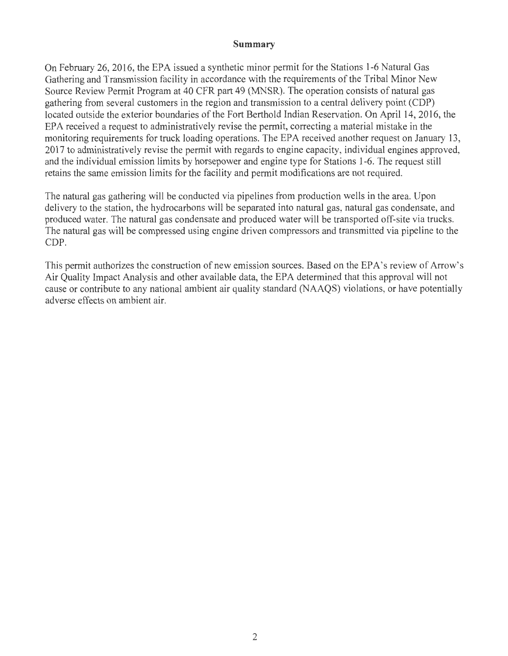### **Summary**

On February 26, 2016, the EPA issued a synthetic minor permit for the Stations 1-6 Natural Gas Gathering and Transmission facility in accordance with the requirements of the Tribal Minor New Source Review Permit Program at 40 CFR part 49 (MNSR). The operation consists of natural gas gathering from several customers in the region and transmission to a central delivery point (CDP) located outside the exterior boundaries of the Fort Berthold Indian Reservation. On April 14, 2016, the EPA received a request to administratively revise the permit, correcting a material mistake in the monitoring requirements for truck loading operations. The EPA received another request on January 13, 2017 to administratively revise the permit with regards to engine capacity, individual engines approved, and the individual emission limits by horsepower and engine type for Stations 1-6. The request still retains the same emission limits for the facility and permit modifications are not required.

The natural gas gathering will be conducted via pipelines from production wells in the area. Upon delivery to the station, the hydrocarbons will be separated into natural gas, natural gas condensate, and produced water. The natural gas condensate and produced water will be transported off-site via trucks. The natural gas will be compressed using engine driven compressors and transmitted via pipeline to the CDP.

This permit authorizes the construction of new emission sources. Based on the EPA's review of Arrow's Air Quality Impact Analysis and other available data, the EPA determined that this approval will not cause or contribute to any national ambient air quality standard (NAAQS) violations, or have potentially adverse effects on ambient air.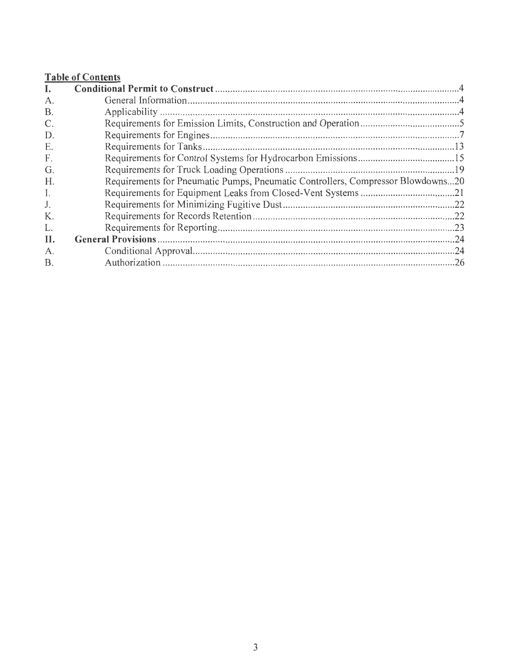# **Table of Contents**

| I.          |                                                                                 |
|-------------|---------------------------------------------------------------------------------|
| A.          |                                                                                 |
| <b>B.</b>   |                                                                                 |
| C.          |                                                                                 |
| D.          |                                                                                 |
| Е.          |                                                                                 |
| F.          |                                                                                 |
| G.          |                                                                                 |
| H.          | Requirements for Pneumatic Pumps, Pneumatic Controllers, Compressor Blowdowns20 |
| I.          |                                                                                 |
| J.          |                                                                                 |
| К.          |                                                                                 |
| L.          |                                                                                 |
| II.         |                                                                                 |
| $A_{\cdot}$ |                                                                                 |
| <b>B.</b>   |                                                                                 |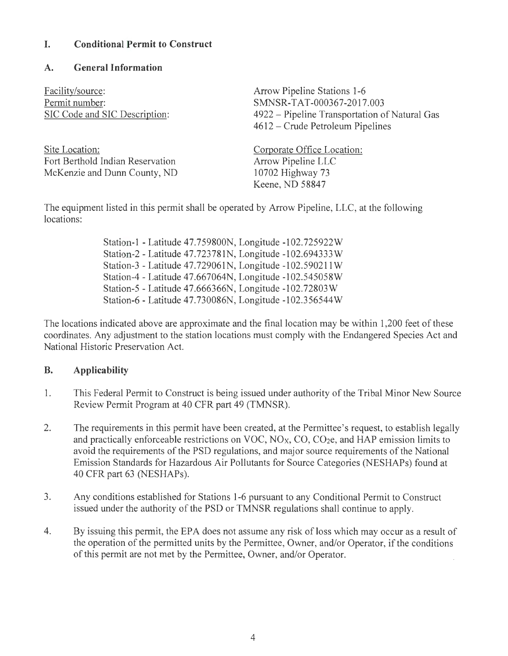## **I. Conditional Permit to Construct**

## **A. General Information**

Facility/source: Permit number: SIC Code and SIC Description:

Site Location: Fort Berthold Indian Reservation McKenzie and Dunn County, ND Arrow Pipeline Stations 1-6 SMNSR-TAT-000367-2017.003 4922 - Pipeline Transportation of Natural Gas 4612 - Crude Petroleum Pipelines

Corporate Office Location: Arrow Pipeline LLC 10702 Highway 73 Keene, ND 58847

The equipment listed in this permit shall be operated by Arrow Pipeline, LLC, at the following locations:

> Station-I - Latitude 47.759800N, Longitude -102.725922W Station-2 - Latitude 47.723781N, Longitude -102.694333W Station-3 - Latitude 47.729061N, Longitude -102.590211 W Station-4 - Latitude 47.667064N, Longitude -102.545058W Station-5 - Latitude 47.666366N, Longitude -102.72803W Station-6 - Latitude 47.730086N, Longitude -102.356544W

The locations indicated above are approximate and the final location may be within 1,200 feet of these coordinates. Any adjustment to the station locations must comply with the Endangered Species Act and National Historic Preservation Act.

# **B. Applicability**

- 1. This Federal Permit to Construct is being issued under authority of the Tribal Minor New Source Review Permit Program at 40 CFR part 49 (TMNSR).
- 2. The requirements in this permit have been created, at the Permittee's request, to establish legally and practically enforceable restrictions on VOC,  $NO<sub>X</sub>$ ,  $CO$ ,  $CO<sub>2</sub>e$ , and HAP emission limits to avoid the requirements of the PSD regulations, and major source requirements of the National Emission Standards for Hazardous Air Pollutants for Source Categories (NESHAPs) found at 40 CFR part 63 (NESHAPs).
- 3. Any conditions established for Stations 1-6 pursuant to any Conditional Permit to Construct issued under the authority of the PSD or TMNSR regulations shall continue to apply.
- 4. By issuing this permit, the EPA does not assume any risk of loss which may occur as a result of the operation of the permitted units by the Permittee, Owner, and/or Operator, if the conditions of this permit are not met by the Permittee, Owner, and/or Operator.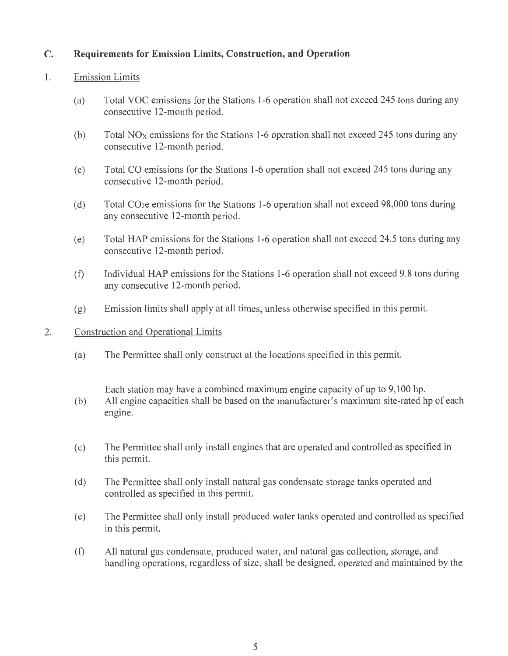# **C. Requirements for Emission Limits, Construction, and Operation**

## 1. Emission Limits

- (a) Total VOC emissions for the Stations 1-6 operation shall not exceed 245 tons during any consecutive 12-month period.
- (b) Total  $NO<sub>X</sub>$  emissions for the Stations 1-6 operation shall not exceed 245 tons during any consecutive 12-month period.
- (c) Total CO emissions for the Stations 1-6 operation shall not exceed 245 tons during any consecutive 12-month period.
- (d) Total CO2e emissions for the Stations 1-6 operation shall not exceed 98,000 tons during any consecutive 12-month period.
- (e) Total HAP emissions for the Stations 1-6 operation shall not exceed 24.5 tons during any consecutive 12-month period.
- (f) Individual HAP emissions for the Stations 1-6 operation shall not exceed 9.8 tons during any consecutive 12-month period.
- (g) Emission limits shall apply at all times, unless otherwise specified in this permit.

### 2. Construction and Operational Limits

(a) The Permittee shall only construct at the locations specified in this permit.

Each station may have a combined maximum engine capacity of up to 9,100 hp.

- (b) All engine capacities shall be based on the manufacturer's maximum site-rated hp of each engine.
- (c) The Permittee shall only install engines that are operated and controlled as specified in this permit.
- ( d) The Permittee shall only install natural gas condensate storage tanks operated and controlled as specified in this permit.
- ( e) The Permittee shall only install produced water tanks operated and controlled as specified in this permit.
- (f) All natural gas condensate, produced water, and natural gas collection, storage, and handling operations, regardless of size, shall be designed, operated and maintained by the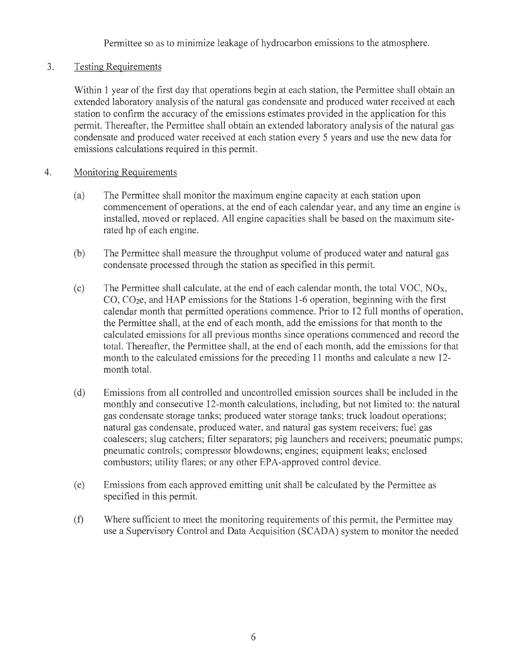Permittee so as to minimize leakage of hydrocarbon emissions to the atmosphere.

## 3. Testing Requirements

Within 1 year of the first day that operations begin at each station, the Permittee shall obtain an extended laboratory analysis of the natural gas condensate and produced water received at each station to confirm the accuracy of the emissions estimates provided in the application for this permit. Thereafter, the Permittee shall obtain an extended laboratory analysis of the natural gas condensate and produced water received at each station every 5 years and use the new data for emissions calculations required in this permit.

#### 4. Monitoring Requirements

- (a) The Permittee shall monitor the maximum engine capacity at each station upon commencement of operations, at the end of each calendar year, and any time an engine is installed, moved or replaced. All engine capacities shall be based on the maximum siterated hp of each engine.
- (b) The Permittee shall measure the throughput volume of produced water and natural gas condensate processed through the station as specified in this permit.
- (c) The Permittee shall calculate, at the end of each calendar month, the total VOC,  $NO<sub>X</sub>$ , CO, CO2e, and HAP emissions for the Stations 1-6 operation, beginning with the first calendar month that permitted operations commence. Prior to 12 full months of operation, the Permittee shall, at the end of each month, add the emissions for that month to the calculated emissions for all previous months since operations commenced and record the total. Thereafter, the Permittee shall, at the end of each month, add the emissions for that month to the calculated emissions for the preceding 11 months and calculate a new 12 month total.
- ( d) Emissions from all controlled and uncontrolled emission sources shall be included in the monthly and consecutive 12-month calculations, including, but not limited to: the natural gas condensate storage tanks; produced water storage tanks; truck loadout operations; natural gas condensate, produced water, and natural gas system receivers; fuel gas coalescers; slug catchers; filter separators; pig launchers and receivers; pneumatic pumps; pneumatic controls; compressor blowdowns; engines; equipment leaks; enclosed combustors; utility flares; or any other EPA-approved control device.
- (e) Emissions from each approved emitting unit shall be calculated by the Permittee as specified in this permit.
- (f) Where sufficient to meet the monitoring requirements of this permit, the Permittee may use a Supervisory Control and Data Acquisition (SCADA) system to monitor the needed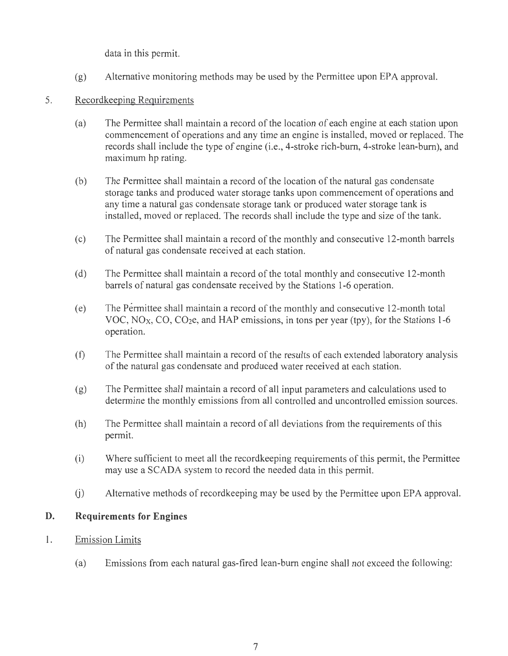data in this permit.

- (g) Alternative monitoring methods may be used by the Permittee upon EPA approval.
- 5. Recordkeeping Requirements
	- (a) The Permittee shall maintain a record of the location of each engine at each station upon commencement of operations and any time an engine is installed, moved or replaced. The records shall include the type of engine (i.e., 4-stroke rich-bum, 4-stroke lean-bum), and maximum hp rating.
	- (b) The Permittee shall maintain a record of the location of the natural gas condensate storage tanks and produced water storage tanks upon commencement of operations and any time a natural gas condensate storage tank or produced water storage tank is installed, moved or replaced. The records shall include the type and size of the tank.
	- (c) The Permittee shall maintain a record of the monthly and consecutive 12-month barrels of natural gas condensate received at each station.
	- (d) The Permittee shall maintain a record of the total monthly and consecutive 12-month barrels of natural gas condensate received by the Stations 1-6 operation.
	- (e) The Permittee shall maintain a record of the monthly and consecutive 12-month total VOC,  $NO<sub>X</sub>$ , CO, CO<sub>2</sub>e, and HAP emissions, in tons per year (tpy), for the Stations 1-6 operation.
	- (f) The Permittee shall maintain a record of the results of each extended laboratory analysis of the natural gas condensate and produced water received at each station.
	- (g) The Permittee shall maintain a record of all input parameters and calculations used to determine the monthly emissions from all controlled and uncontrolled emission sources.
	- (h) The Permittee shall maintain a record of all deviations from the requirements of this permit.
	- (i) Where sufficient to meet all the recordkeeping requirements of this permit, the Permittee may use a SCADA system to record the needed data in this permit.
	- (i) Alternative methods of recordkeeping may be used by the Permittee upon EPA approval.

# **D. Requirements for Engines**

- 1. Emission Limits
	- (a) Emissions from each natural gas-fired lean-bum engine shall not exceed the following: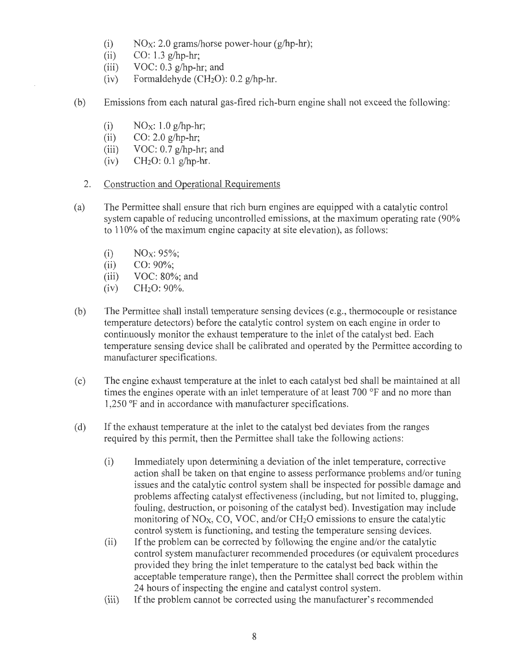- (i)  $NO_X$ : 2.0 grams/horse power-hour (g/hp-hr);
- (ii) CO: 1.3 g/hp-hr;
- (iii) VOC:  $0.3$  g/hp-hr; and
- (iv) Formaldehyde ( $CH<sub>2</sub>O$ ): 0.2 g/hp-hr.
- (b) Emissions from each natural gas-fired rich-bum engine shall not exceed the following:
	- (i)  $NO<sub>X</sub>: 1.0 g/hp-hr$ ;
	- (ii) CO: 2.0 g/hp-hr;
	- (iii)  $VOC: 0.7 g/hp-hr$ ; and
	- (iv) CH2O: 0.1 g/hp-hr.
	- 2. Construction and Operational Requirements
- (a) The Permittee shall ensure that rich burn engines are equipped with a catalytic control system capable of reducing uncontrolled emissions, at the maximum operating rate (90% to 110% of the maximum engine capacity at site elevation), as follows:
	- (i)  $NO_X: 95\%;$
	- (ii) CO: 90%;
	- (iii)  $VOC: 80\%$ ; and<br>(iv)  $CH<sub>2</sub>O: 90\%$ .
	- CH<sub>2</sub>O: 90%.
- (b) The Permittee shall install temperature sensing devices (e.g. , thermocouple or resistance temperature detectors) before the catalytic control system on each engine in order to continuously monitor the exhaust temperature to the inlet of the catalyst bed. Each temperature sensing device shall be calibrated and operated by the Permittee according to manufacturer specifications.
- (c) The engine exhaust temperature at the inlet to each catalyst bed shall be maintained at all times the engines operate with an inlet temperature of at least 700 °F and no more than 1,250 °F and in accordance with manufacturer specifications.
- ( d) If the exhaust temperature at the inlet to the catalyst bed deviates from the ranges required by this permit, then the Permittee shall take the following actions:
	- (i) Immediately upon determining a deviation of the inlet temperature, corrective action shall be taken on that engine to assess performance problems and/or tuning issues and the catalytic control system shall be inspected for possible damage and problems affecting catalyst effectiveness (including, but not limited to, plugging, fouling, destruction, or poisoning of the catalyst bed). Investigation may include monitoring of  $NO<sub>X</sub>$ , CO, VOC, and/or CH<sub>2</sub>O emissions to ensure the catalytic control system is functioning, and testing the temperature sensing devices.
	- (ii) If the problem can be corrected by following the engine and/or the catalytic control system manufacturer recommended procedures (or equivalent procedures provided they bring the inlet temperature to the catalyst bed back within the acceptable temperature range), then the Permittee shall correct the problem within 24 hours of inspecting the engine and catalyst control system.
	- (iii) If the problem cannot be corrected using the manufacturer's recommended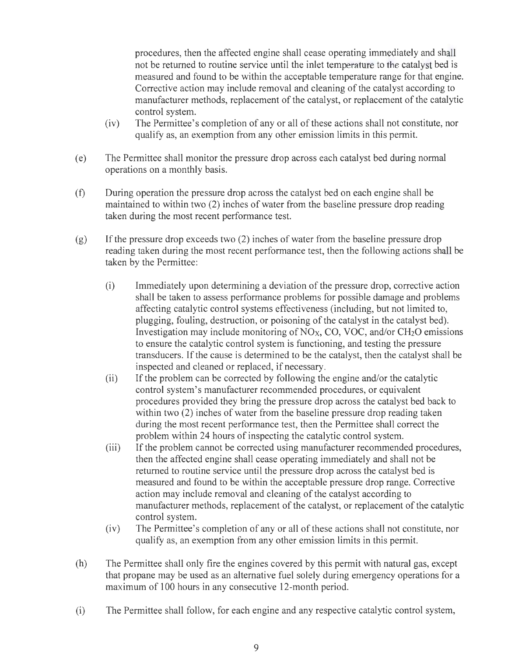procedures, then the affected engine shall cease operating immediately and shall not be returned to routine service until the inlet temperature to the catalyst bed is measured and found to be within the acceptable temperature range for that engine. Corrective action may include removal and cleaning of the catalyst according to manufacturer methods, replacement of the catalyst, or replacement of the catalytic control system.

- (iv) The Permittee's completion of any or all of these actions shall not constitute, nor qualify as, an exemption from any other emission limits in this permit.
- ( e) The Permittee shall monitor the pressure drop across each catalyst bed during normal operations on a monthly basis.
- (f) During operation the pressure drop across the catalyst bed on each engine shall be maintained to within two (2) inches of water from the baseline pressure drop reading taken during the most recent performance test.
- (g) If the pressure drop exceeds two (2) inches of water from the baseline pressure drop reading taken during the most recent performance test, then the following actions shall be taken by the Permittee:
	- (i) Immediately upon determining a deviation of the pressure drop, corrective action shall be taken to assess performance problems for possible damage and problems affecting catalytic control systems effectiveness (including, but not limited to, plugging, fouling, destruction, or poisoning of the catalyst in the catalyst bed). Investigation may include monitoring of  $NO<sub>X</sub>$ , CO, VOC, and/or CH<sub>2</sub>O emissions to ensure the catalytic control system is functioning, and testing the pressure transducers. If the cause is determined to be the catalyst, then the catalyst shall be inspected and cleaned or replaced, if necessary.
	- (ii) If the problem can be corrected by following the engine and/or the catalytic control system's manufacturer recommended procedures, or equivalent procedures provided they bring the pressure drop across the catalyst bed back to within two (2) inches of water from the baseline pressure drop reading taken during the most recent performance test, then the Permittee shall correct the problem within 24 hours of inspecting the catalytic control system.
	- (iii) If the problem cannot be corrected using manufacturer recommended procedures, then the affected engine shall cease operating immediately and shall not be returned to routine service until the pressure drop across the catalyst bed is measured and found to be within the acceptable pressure drop range. Corrective action may include removal and cleaning of the catalyst according to manufacturer methods, replacement of the catalyst, or replacement of the catalytic control system.
	- (iv) The Permittee's completion of any or all of these actions shall not constitute, nor qualify as, an exemption from any other emission limits in this permit.
- (h) The Permittee shall only fire the engines covered by this permit with natural gas, except that propane may be used as an alternative fuel solely during emergency operations for a maximum of 100 hours in any consecutive 12-month period.
- (i) The Permittee shall follow, for each engine and any respective catalytic control system,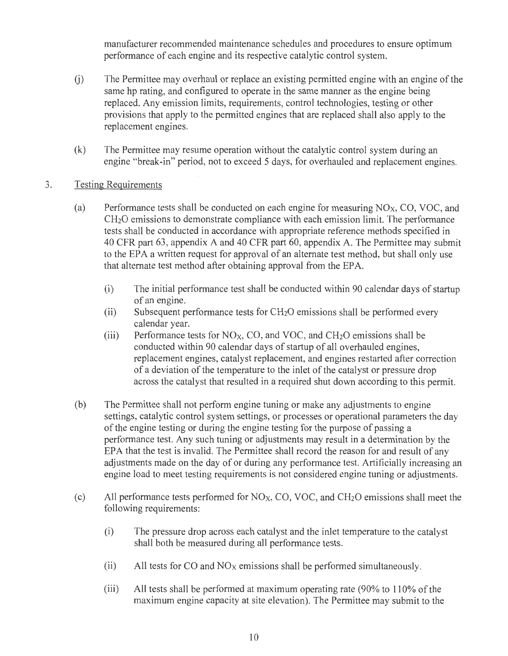manufacturer recommended maintenance schedules and procedures to ensure optimum performance of each engine and its respective catalytic control system.

- U) The Permittee may overhaul or replace an existing permitted engine with an engine of the same hp rating, and configured to operate in the same manner as the engine being replaced. Any emission limits, requirements, control technologies, testing or other provisions that apply to the permitted engines that are replaced shall also apply to the replacement engines.
- (k) The Permittee may resume operation without the catalytic control system during an engine "break-in" period, not to exceed 5 days, for overhauled and replacement engines.
- 3. Testing Requirements
	- (a) Performance tests shall be conducted on each engine for measuring  $NO<sub>X</sub>$ , CO, VOC, and CH2O emissions to demonstrate compliance with each emission limit. The performance tests shall be conducted in accordance with appropriate reference methods specified in 40 CPR part 63, appendix A and 40 CPR part 60, appendix A. The Permittee may submit to the EPA a written request for approval of an alternate test method, but shall only use that alternate test method after obtaining approval from the EPA.
		- (i) The initial performance test shall be conducted within 90 calendar days of startup of an engine.
		- (ii) Subsequent performance tests for  $CH<sub>2</sub>O$  emissions shall be performed every calendar year.
		- (iii) Performance tests for  $NO<sub>X</sub>$ , CO, and VOC, and CH<sub>2</sub>O emissions shall be conducted within 90 calendar days of startup of all overhauled engines, replacement engines, catalyst replacement, and engines restarted after correction of a deviation of the temperature to the inlet of the catalyst or pressure drop across the catalyst that resulted in a required shut down according to this permit.
	- (b) The Permittee shall not perform engine tuning or make any adjustments to engine settings, catalytic control system settings, or processes or operational parameters the day of the engine testing or during the engine testing for the purpose of passing a performance test. Any such tuning or adjustments may result in a determination by the EPA that the test is invalid. The Permittee shall record the reason for and result of any adjustments made on the day of or during any performance test. Artificially increasing an engine load to meet testing requirements is not considered engine tuning or adjustments.
	- (c) All performance tests performed for  $NO<sub>X</sub>$ , CO, VOC, and CH<sub>2</sub>O emissions shall meet the following requirements:
		- (i) The pressure drop across each catalyst and the inlet temperature to the catalyst shall both be measured during all performance tests.
		- (ii) All tests for CO and  $NO<sub>X</sub>$  emissions shall be performed simultaneously.
		- (iii) All tests shall be performed at maximum operating rate (90% to 110% of the maximum engine capacity at site elevation). The Permittee may submit to the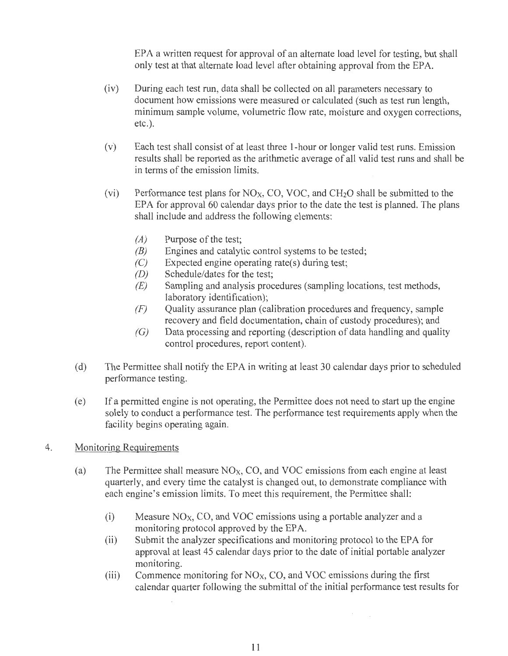EPA a written request for approval of an alternate load level for testing, but shall only test at that alternate load level after obtaining approval from the EPA.

- (iv) During each test run, data shall be collected on all parameters necessary to document how emissions were measured or calculated (such as test run length, minimum sample volume, volumetric flow rate, moisture and oxygen corrections, etc.).
- (v) Each test shall consist of at least three I-hour or longer valid test runs. Emission results shall be reported as the arithmetic average of all valid test runs and shall be in terms of the emission limits.
- (vi) Performance test plans for  $NO<sub>X</sub>$ , CO, VOC, and CH<sub>2</sub>O shall be submitted to the EPA for approval 60 calendar days prior to the date the test is planned. The plans shall include and address the following elements:
	- $(A)$  Purpose of the test;
	- $(B)$  Engines and catalytic control systems to be tested;
	- $(C)$  Expected engine operating rate(s) during test;
	- (D) Schedule/dates for the test;
	- $(E)$  Sampling and analysis procedures (sampling locations, test methods, laboratory identification);
	- $(F)$  Quality assurance plan (calibration procedures and frequency, sample recovery and field documentation, chain of custody procedures); and
	- $(G)$  Data processing and reporting (description of data handling and quality control procedures, report content).
- ( d) The Permittee shall notify the EPA in writing at least 30 calendar days prior to scheduled performance testing.
- ( e) If a permitted engine is not operating, the Permittee does not need to start up the engine solely to conduct a performance test. The performance test requirements apply when the facility begins operating again.

## 4. Monitoring Requirements

- (a) The Permittee shall measure  $NO<sub>X</sub>$ , CO, and VOC emissions from each engine at least quarterly, and every time the catalyst is changed out, to demonstrate compliance with each engine's emission limits. To meet this requirement, the Permittee shall:
	- (i) Measure NOx, CO, and VOC emissions using a portable analyzer and a monitoring protocol approved by the EPA.
	- (ii) Submit the analyzer specifications and monitoring protocol to the EPA for approval at least 45 calendar days prior to the date of initial portable analyzer monitoring.
	- (iii) Commence monitoring for  $NO<sub>X</sub>$ , CO, and VOC emissions during the first calendar quarter following the submittal of the initial performance test results for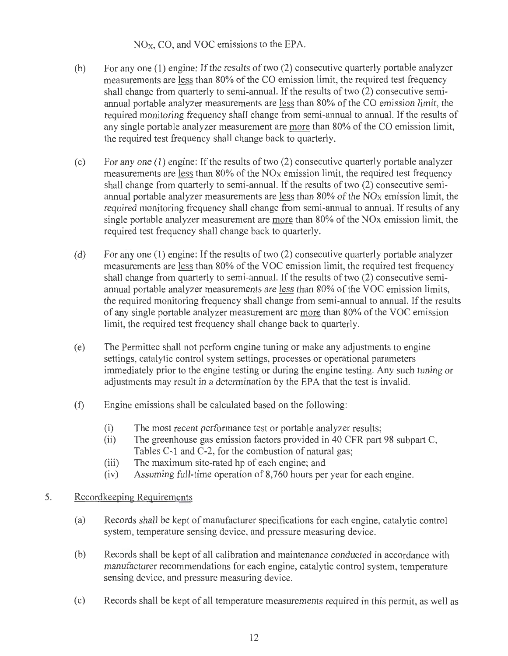NOx, CO, and VOC emissions to the EPA.

- (b) For any one (1) engine: If the results of two (2) consecutive quarterly portable analyzer measurements are less than 80% of the CO emission limit, the required test frequency shall change from quarterly to semi-annual. If the results of two (2) consecutive semiannual portable analyzer measurements are less than 80% of the CO emission limit, the required monitoring frequency shall change from semi-annual to annual. If the results of any single portable analyzer measurement are more than 80% of the CO emission limit, the required test frequency shall change back to quarterly.
- (c) For any one (1) engine: If the results of two (2) consecutive quarterly portable analyzer measurements are less than  $80\%$  of the NO<sub>X</sub> emission limit, the required test frequency shall change from quarterly to semi-annual. If the results of two (2) consecutive semiannual portable analyzer measurements are less than  $80\%$  of the NO<sub>X</sub> emission limit, the required monitoring frequency shall change from semi-annual to annual. If results of any single portable analyzer measurement are more than 80% of the NOx emission limit, the required test frequency shall change back to quarterly.
- (d) For any one (1) engine: If the results of two (2) consecutive quarterly portable analyzer measurements are less than 80% of the VOC emission limit, the required test frequency shall change from quarterly to semi-annual. If the results of two (2) consecutive semiannual portable analyzer measurements are less than 80% of the VOC emission limits, the required monitoring frequency shall change from semi-annual to annual. If the results of any single portable analyzer measurement are more than 80% of the VOC emission limit, the required test frequency shall change back to quarterly.
- (e) The Permittee shall not perform engine tuning or make any adjustments to engine settings, catalytic control system settings, processes or operational parameters immediately prior to the engine testing or during the engine testing. Any such tuning or adjustments may result in a determination by the EPA that the test is invalid.
- (f) Engine emissions shall be calculated based on the following:
	- (i) The most recent performance test or portable analyzer results;
	- (ii) The greenhouse gas emission factors provided in 40 CFR part 98 subpart C, Tables C-1 and C-2, for the combustion of natural gas;
	- (iii) The maximum site-rated hp of each engine; and
	- (iv) Assuming full-time operation of 8,760 hours per year for each engine.

#### 5. Recordkeeping Requirements

- (a) Records shall be kept of manufacturer specifications for each engine, catalytic control system, temperature sensing device, and pressure measuring device.
- (b) Records shall be kept of all calibration and maintenance conducted in accordance with manufacturer recommendations for each engine, catalytic control system, temperature sensing device, and pressure measuring device.
- ( c) Records shall be kept of all temperature measurements required in this permit, as well as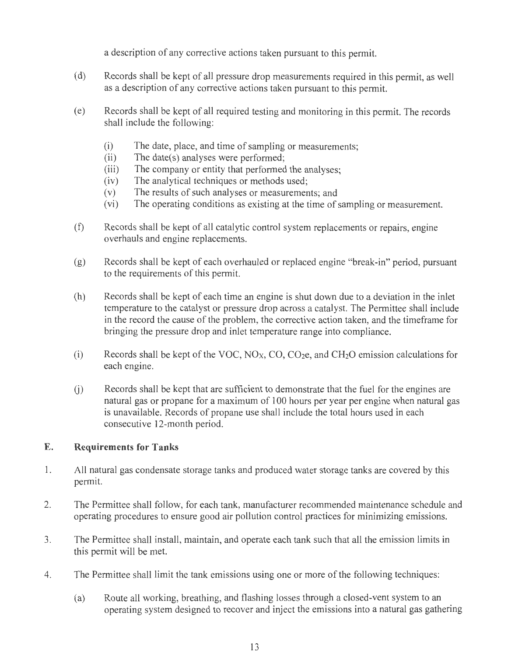a description of any corrective actions taken pursuant to this permit.

- ( d) Records shall be kept of all pressure drop measurements required in this permit, as well as a description of any corrective actions taken pursuant to this permit.
- ( e) Records shall be kept of all required testing and monitoring in this permit. The records shall include the following:
	- (i) The date, place, and time of sampling or measurements;
	- (ii) The date(s) analyses were performed;
	- (iii) The company or entity that performed the analyses;
	- (iv) The analytical techniques or methods used;
	- (v) The results of such analyses or measurements; and
	- (vi) The operating conditions as existing at the time of sampling or measurement.
- (f) Records shall be kept of all catalytic control system replacements or repairs, engine overhauls and engine replacements.
- (g) Records shall be kept of each overhauled or replaced engine "break-in" period, pursuant to the requirements of this permit.
- (h) Records shall be kept of each time an engine is shut down due to a deviation in the inlet temperature to the catalyst or pressure drop across a catalyst. The Permittee shall include in the record the cause of the problem, the corrective action taken, and the timeframe for bringing the pressure drop and inlet temperature range into compliance.
- (i) Records shall be kept of the VOC,  $NO<sub>X</sub>$ , CO, CO<sub>2</sub>e, and CH<sub>2</sub>O emission calculations for each engine.
- (i) Records shall be kept that are sufficient to demonstrate that the fuel for the engines are natural gas or propane for a maximum of 100 hours per year per engine when natural gas is unavailable. Records of propane use shall include the total hours used in each consecutive 12-month period.

# **E. Requirements for Tanks**

- 1 . All natural gas condensate storage tanks and produced water storage tanks are covered by this permit.
- 2. The Permittee shall follow, for each tank, manufacturer recommended maintenance schedule and operating procedures to ensure good air pollution control practices for minimizing emissions.
- 3. The Permittee shall install, maintain, and operate each tank such that all the emission limits in this permit will be met.
- 4. The Permittee shall limit the tank emissions using one or more of the following techniques:
	- (a) Route all working, breathing, and flashing losses through a closed-vent system to an operating system designed to recover and inject the emissions into a natural gas gathering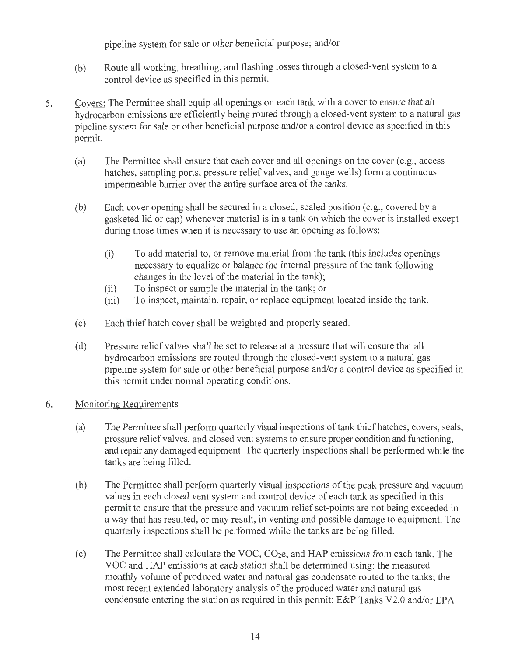pipeline system for sale or other beneficial purpose; and/or

- (b) Route all working, breathing, and flashing losses through a closed-vent system to a control device as specified in this permit.
- 5. Covers: The Permittee shall equip all openings on each tank with a cover to ensure that all hydrocarbon emissions are efficiently being routed through a closed-vent system to a natural gas pipeline system for sale or other beneficial purpose and/or a control device as specified in this permit.
	- (a) The Permittee shall ensure that each cover and all openings on the cover (e.g., access hatches, sampling ports, pressure relief valves, and gauge wells) form a continuous impermeable barrier over the entire surface area of the tanks.
	- (b) Each cover opening shall be secured in a closed, sealed position (e.g., covered by a gasketed lid or cap) whenever material is in a tank on which the cover is installed except during those times when it is necessary to use an opening as follows:
		- (i) To add material to, or remove material from the tank (this includes openings necessary to equalize or balance the internal pressure of the tank following changes in the level of the material in the tank);
		- (ii) To inspect or sample the material in the tank; or
		- (iii) To inspect, maintain, repair, or replace equipment located inside the tank.
	- ( c) Each thief hatch cover shall be weighted and properly seated.
	- ( d) Pressure relief valves shall be set to release at a pressure that will ensure that all hydrocarbon emissions are routed through the closed-vent system to a natural gas pipeline system for sale or other beneficial purpose and/or a control device as specified in this permit under normal operating conditions.

#### 6. Monitoring Requirements

- (a) The Permittee shall perform quarterly visual inspections of tank thief hatches, covers, seals, pressure relief valves, and closed vent systems to ensure proper condition and functioning, and repair any damaged equipment. The quarterly inspections shall be performed while the tanks are being filled.
- (b) The Permittee shall perform quarterly visual inspections of the peak pressure and vacuum values in each closed vent system and control device of each tank as specified in this permit to ensure that the pressure and vacuum relief set-points are not being exceeded in a way that has resulted, or may result, in venting and possible damage to equipment. The quarterly inspections shall be performed while the tanks are being filled.
- (c) The Permittee shall calculate the VOC, CO2e, and HAP emissions from each tank. The VOC and HAP emissions at each station shall be determined using: the measured monthly volume of produced water and natural gas condensate routed to the tanks; the most recent extended laboratory analysis of the produced water and natural gas condensate entering the station as required in this permit; E&P Tanks V2.0 and/or EPA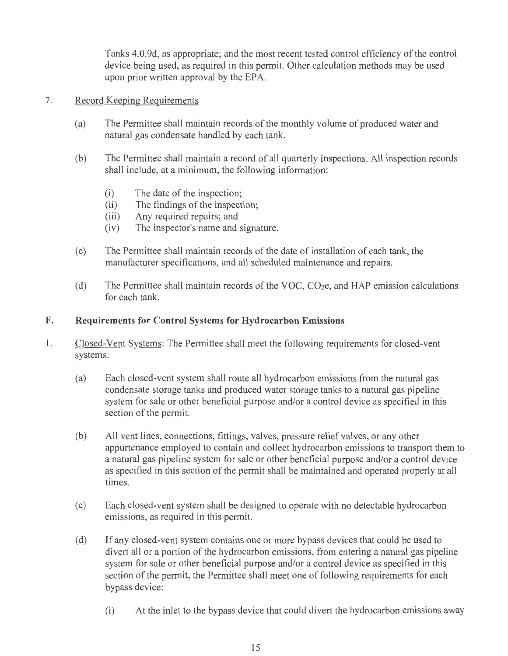Tanks 4.0.9d, as appropriate; and the most recent tested control efficiency of the control device being used, as required in this permit. Other calculation methods may be used upon prior written approval by the EPA.

## 7. Record Keeping Requirements

- (a) The Permittee shall maintain records of the monthly volume of produced water and natural gas condensate handled by each tank.
- (b) The Permittee shall maintain a record of all quarterly inspections. All inspection records shall include, at a minimum, the following information:
	- (i) The date of the inspection;
	- (ii) The findings of the inspection;
	- (iii) Any required repairs; and
	- (iv) The inspector's name and signature.
- ( c) The Permittee shall maintain records of the date of installation of each tank, the manufacturer specifications, and all scheduled maintenance and repairs.
- (d) The Permittee shall maintain records of the VOC,  $CO<sub>2</sub>e$ , and HAP emission calculations for each tank.

### **F. Requirements for Control Systems for Hydrocarbon Emissions**

- 1. Closed-Vent Systems: The Permittee shall meet the following requirements for closed-vent systems:
	- (a) Each closed-vent system shall route all hydrocarbon emissions from the natural gas condensate storage tanks and produced water storage tanks to a natural gas pipeline system for sale or other beneficial purpose and/or a control device as specified in this section of the permit.
	- (b) All vent lines, connections, fittings, valves, pressure relief valves, or any other appurtenance employed to contain and collect hydrocarbon emissions to transport them to a natural gas pipeline system for sale or other beneficial purpose and/or a control device as specified in this section of the permit shall be maintained and operated properly at all times.
	- ( c) Each closed-vent system shall be designed to operate with no detectable hydrocarbon emissions, as required in this permit.
	- (d) If any closed-vent system contains one or more bypass devices that could be used to divert all or a portion of the hydrocarbon emissions, from entering a natural gas pipeline system for sale or other beneficial purpose and/or a control device as specified in this section of the permit, the Permittee shall meet one of following requirements for each bypass device:
		- (i) At the inlet to the bypass device that could divert the hydrocarbon emissions away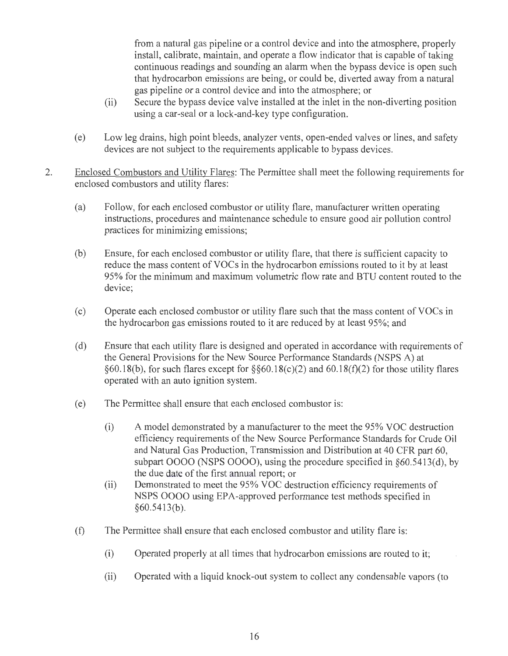from a natural gas pipeline or a control device and into the atmosphere, properly install, calibrate, maintain, and operate a flow indicator that is capable of taking continuous readings and sounding an alarm when the bypass device is open such that hydrocarbon emissions are being, or could be, diverted away from a natural gas pipeline or a control device and into the atmosphere; or

- (ii) Secure the bypass device valve installed at the inlet in the non-diverting position using a car-seal or a lock-and-key type configuration.
- (e) Low leg drains, high point bleeds, analyzer vents, open-ended valves or lines, and safety devices are not subject to the requirements applicable to bypass devices.
- 2. Enclosed Combustors and Utility Flares: The Permittee shall meet the following requirements for enclosed combustors and utility flares:
	- (a) Follow, for each enclosed combustor or utility flare, manufacturer written operating instructions, procedures and maintenance schedule to ensure good air pollution control practices for minimizing emissions;
	- (b) Ensure, for each enclosed combustor or utility flare, that there is sufficient capacity to reduce the mass content of VOCs in the hydrocarbon emissions routed to it by at least 95% for the minimum and maximum volumetric flow rate and BTU content routed to the device;
	- ( c) Operate each enclosed combustor or utility flare such that the mass content of V OCs in the hydrocarbon gas emissions routed to it are reduced by at least 95%; and
	- ( d) Ensure that each utility flare is designed and operated in accordance with requirements of the General Provisions for the New Source Performance Standards (NSPS A) at §60.18(b), for such flares except for §§60.18(c)(2) and 60.18(f)(2) for those utility flares operated with an auto ignition system.
	- (e) The Permittee shall ensure that each enclosed combustor is:
		- (i) A model demonstrated by a manufacturer to the meet the 95% VOC destruction efficiency requirements of the New Source Performance Standards for Crude Oil and Natural Gas Production, Transmission and Distribution at 40 CFR part 60, subpart 0000 (NSPS 0000), using the procedure specified in §60.5413(d), by the due date of the first annual report; or
		- (ii) Demonstrated to meet the 95% VOC destruction efficiency requirements of NSPS 0000 using EPA-approved performance test methods specified in  $§60.5413(b).$
	- (f) The Permittee shall ensure that each enclosed combustor and utility flare is:
		- (i) Operated properly at all times that hydrocarbon emissions are routed to it;
		- (ii) Operated with a liquid knock-out system to collect any condensable vapors (to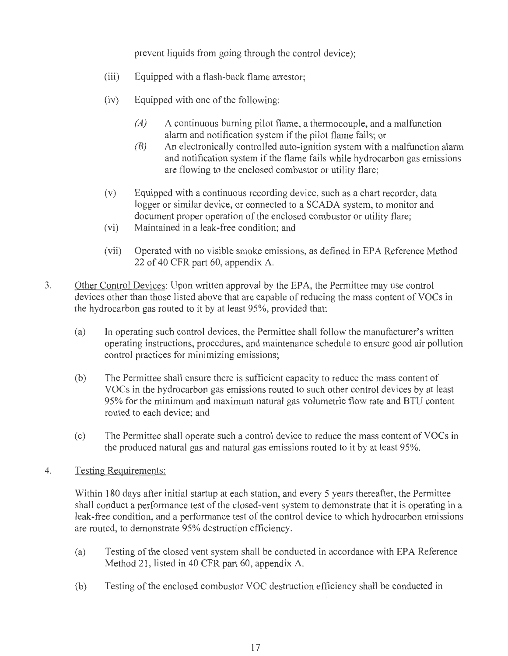prevent liquids from going through the control device);

- (iii) Equipped with a flash-back flame arrestor;
- (iv) Equipped with one of the following:
	- *(A)* A continuous burning pilot flame, a thermocouple, and a malfunction alarm and notification system if the pilot flame fails; or
	- *(B)* An electronically controlled auto-ignition system with a malfunction alarm and notification system if the flame fails while hydrocarbon gas emissions are flowing to the enclosed combustor or utility flare;
- (v) Equipped with a continuous recording device, such as a chart recorder, data logger or similar device, or connected to a SCADA system, to monitor and document proper operation of the enclosed combustor or utility flare;
- (vi) Maintained in a leak-free condition; and
- (vii) Operated with no visible smoke emissions, as defined in EPA Reference Method 22 of 40 CFR part 60, appendix A.
- 3. Other Control Devices: Upon written approval by the EPA, the Permittee may use control devices other than those listed above that are capable of reducing the mass content of VOCs in the hydrocarbon gas routed to it by at least 95%, provided that:
	- (a) In operating such control devices, the Permittee shall follow the manufacturer's written operating instructions, procedures, and maintenance schedule to ensure good air pollution control practices for minimizing emissions;
	- (b) The Permittee shall ensure there is sufficient capacity to reduce the mass content of VOCs in the hydrocarbon gas emissions routed to such other control devices by at least 95% for the minimum and maximum natural gas volumetric flow rate and BTU content routed to each device; and
	- ( c) The Permittee shall operate such a control device to reduce the mass content of VOCs in the produced natural gas and natural gas emissions routed to it by at least 95%.
- 4. Testing Requirements:

Within 180 days after initial startup at each station, and every 5 years thereafter, the Permittee shall conduct a performance test of the closed-vent system to demonstrate that it is operating in a leak-free condition, and a performance test of the control device to which hydrocarbon emissions are routed, to demonstrate 95% destruction efficiency.

- (a) Testing of the closed vent system shall be conducted in accordance with EPA Reference Method 21, listed in 40 CFR part 60, appendix A.
- (b) Testing of the enclosed combustor VOC destruction efficiency shall be conducted in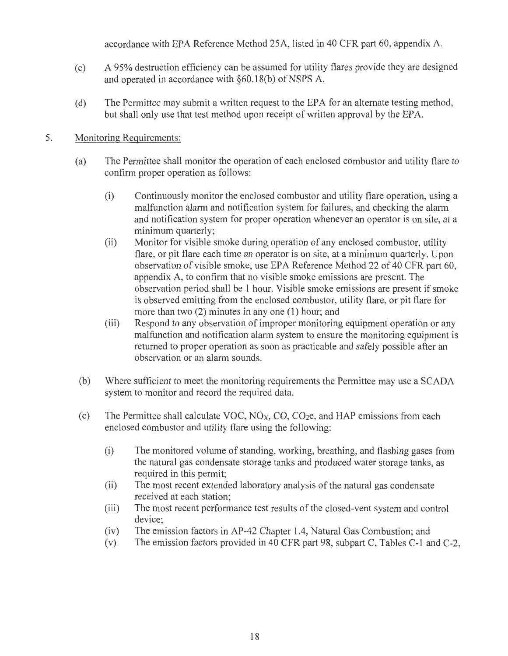accordance with EPA Reference Method 25A, listed in 40 CFR part 60, appendix A.

- (c) A 95% destruction efficiency can be assumed for utility flares provide they are designed and operated in accordance with  $\S60.18(b)$  of NSPS A.
- (d) The Permittee may submit a written request to the EPA for an alternate testing method, but shall only use that test method upon receipt of written approval by the EPA.

# 5. Monitoring Requirements:

- (a) The Permittee shall monitor the operation of each enclosed combustor and utility flare to confirm proper operation as follows:
	- (i) Continuously monitor the enclosed combustor and utility flare operation, using a malfunction alarm and notification system for failures, and checking the alarm and notification system for proper operation whenever an operator is on site, at a minimum quarterly;
	- (ii) Monitor for visible smoke during operation of any enclosed combustor, utility flare, or pit flare each time an operator is on site, at a minimum quarterly. Upon observation of visible smoke, use EPA Reference Method 22 of 40 CFR part 60, appendix A, to confirm that no visible smoke emissions are present. The observation period shall be 1 hour. Visible smoke emissions are present if smoke is observed emitting from the enclosed combustor, utility flare, or pit flare for more than two (2) minutes in any one (1) hour; and
	- (iii) Respond to any observation of improper monitoring equipment operation or any malfunction and notification alarm system to ensure the monitoring equipment is returned to proper operation as soon as practicable and safely possible after an observation or an alarm sounds.
- (b) Where sufficient to meet the monitoring requirements the Permittee may use a SCADA system to monitor and record the required data.
- (c) The Permittee shall calculate VOC,  $NO<sub>X</sub>$ ,  $CO$ ,  $CO<sub>2</sub>e$ , and HAP emissions from each enclosed combustor and utility flare using the following:
	- (i) The monitored volume of standing, working, breathing, and flashing gases from the natural gas condensate storage tanks and produced water storage tanks, as required in this permit;
	- (ii) The most recent extended laboratory analysis of the natural gas condensate received at each station;
	- (iii) The most recent performance test results of the closed-vent system and control device;
	- (iv) The emission factors in AP-42 Chapter 1 .4, Natural Gas Combustion; and
	- (v) The emission factors provided in 40 CFR part 98, subpart C, Tables C-1 and C-2,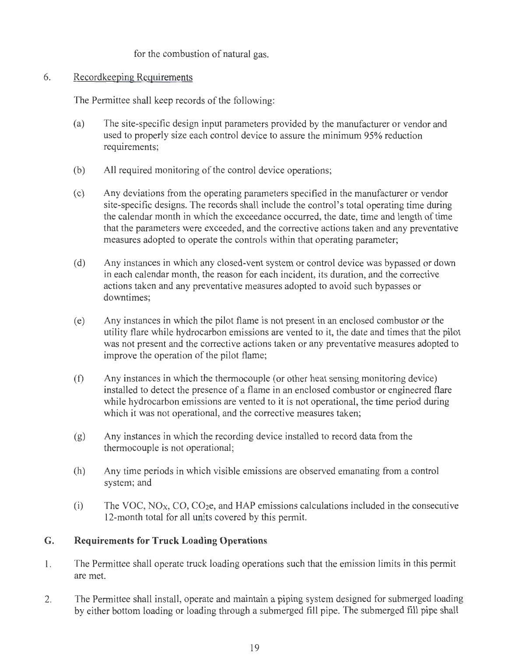for the combustion of natural gas.

# 6. Recordkeeping Requirements

The Permittee shall keep records of the following:

- (a) The site-specific design input parameters provided by the manufacturer or vendor and used to properly size each control device to assure the minimum 95% reduction requirements;
- (b) All required monitoring of the control device operations;
- ( c) Any deviations from the operating parameters specified in the manufacturer or vendor site-specific designs. The records shall include the control's total operating time during the calendar month in which the exceedance occurred, the date, time and length of time that the parameters were exceeded, and the corrective actions taken and any preventative measures adopted to operate the controls within that operating parameter;
- (d) Any instances in which any closed-vent system or control device was bypassed or down in each calendar month, the reason for each incident, its duration, and the corrective actions taken and any preventative measures adopted to avoid such bypasses or downtimes;
- (e) Any instances in which the pilot flame is not present in an enclosed combustor or the utility flare while hydrocarbon emissions are vented to it, the date and times that the pilot was not present and the corrective actions taken or any preventative measures adopted to improve the operation of the pilot flame;
- (f) Any instances in which the thermocouple (or other heat sensing monitoring device) installed to detect the presence of a flame in an enclosed combustor or engineered flare while hydrocarbon emissions are vented to it is not operational, the time period during which it was not operational, and the corrective measures taken;
- (g) Any instances in which the recording device installed to record data from the thermocouple is not operational;
- (h) Any time periods in which visible emissions are observed emanating from a control system; and
- (i) The VOC,  $NO<sub>X</sub>$ , CO, CO<sub>2</sub>e, and HAP emissions calculations included in the consecutive 12-month total for all units covered by this permit.

# **G. Requirements for Truck Loading Operations**

- 1. The Permittee shall operate truck loading operations such that the emission limits in this permit are met.
- 2. The Permittee shall install, operate and maintain a piping system designed for submerged loading by either bottom loading or loading through a submerged fill pipe. The submerged fill pipe shall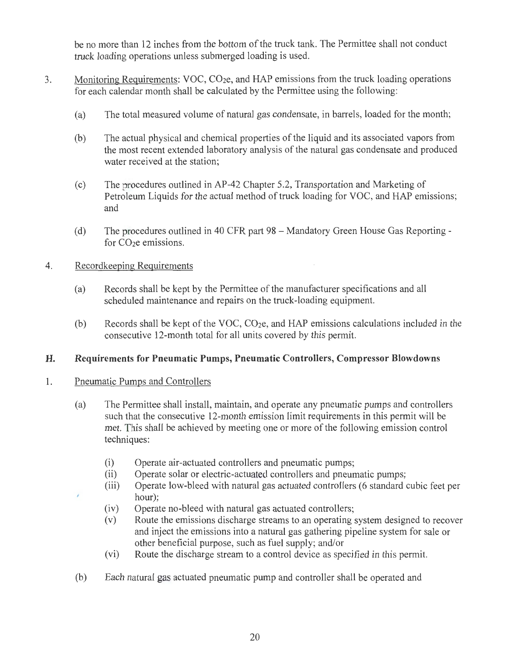be no more than 12 inches from the bottom of the truck tank. The Permittee shall not conduct truck loading operations unless submerged loading is used.

- 3. Monitoring Requirements: VOC, CO2e, and HAP emissions from the truck loading operations for each calendar month shall be calculated by the Permittee using the following:
	- (a) The total measured volume of natural gas condensate, in barrels, loaded for the month;
	- (b) The actual physical and chemical properties of the liquid and its associated vapors from the most recent extended laboratory analysis of the natural gas condensate and produced water received at the station;
	- (c) The procedures outlined in AP-42 Chapter 5.2, Transportation and Marketing of Petroleum Liquids for the actual method of truck loading for VOC, and HAP emissions; and
	- (d) The procedures outlined in 40 CFR part 98 Mandatory Green House Gas Reporting for CO<sub>2</sub>e emissions.

## 4. Recordkeeping Requirements

- (a) Records shall be kept by the Permittee of the manufacturer specifications and all scheduled maintenance and repairs on the truck-loading equipment.
- (b) Records shall be kept of the VOC, CO2e, and HAP emissions calculations included in the consecutive 12-month total for all units covered by this permit.

## **H. Requirements for Pneumatic Pumps, Pneumatic Controllers, Compressor Blowdowns**

## 1. Pneumatic Pumps and Controllers

ż

- (a) The Permittee shall install, maintain, and operate any pneumatic pumps and controllers such that the consecutive 12-month emission limit requirements in this permit will be met. This shall be achieved by meeting one or more of the following emission control techniques:
	- (i) Operate air-actuated controllers and pneumatic pumps;
	- (ii) Operate solar or electric-actuated controllers and pneumatic pumps;
	- (iii) Operate low-bleed with natural gas actuated controllers (6 standard cubic feet per hour);
	- (iv) Operate no-bleed with natural gas actuated controllers;
	- (v) Route the emissions discharge streams to an operating system designed to recover and inject the emissions into a natural gas gathering pipeline system for sale or other beneficial purpose, such as fuel supply; and/or
	- (vi) Route the discharge stream to a control device as specified in this permit.
- (b) Each natural gas actuated pneumatic pump and controller shall be operated and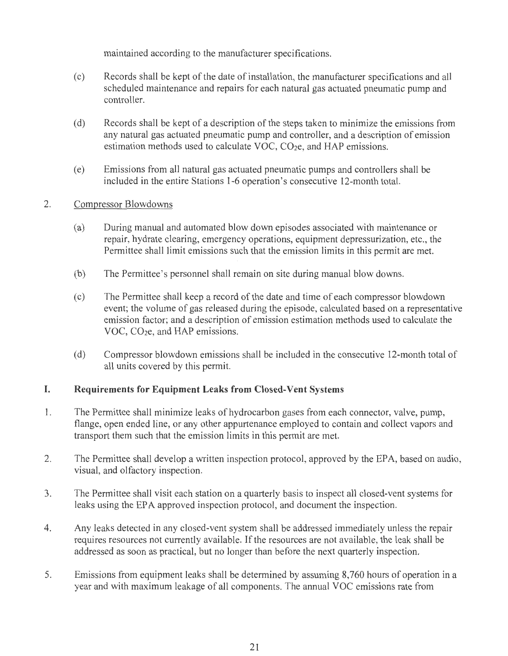maintained according to the manufacturer specifications.

- ( c) Records shall be kept of the date of installation, the manufacturer specifications and all scheduled maintenance and repairs for each natural gas actuated pneumatic pump and controller.
- ( d) Records shall be kept of a description of the steps taken to minimize the emissions from any natural gas actuated pneumatic pump and controller, and a description of emission estimation methods used to calculate VOC, CO<sub>2</sub>e, and HAP emissions.
- ( e) Emissions from all natural gas actuated pneumatic pumps and controllers shall be included in the entire Stations 1-6 operation's consecutive 12-month total.

#### 2. Compressor Blowdowns

- (a) During manual and automated blow down episodes associated with maintenance or repair, hydrate clearing, emergency operations, equipment depressurization, etc., the Permittee shall limit emissions such that the emission limits in this permit are met.
- (b) The Permittee's personnel shall remain on site during manual blow downs.
- ( c) The Permittee shall keep a record of the date and time of each compressor blowdown event; the volume of gas released during the episode, calculated based on a representative emission factor; and a description of emission estimation methods used to calculate the VOC, CO<sub>2</sub>e, and HAP emissions.
- (d) Compressor blowdown emissions shall be included in the consecutive 12-month total of all units covered by this permit.

# **I. Requirements for Equipment Leaks from Closed-Vent Systems**

- 1. The Permittee shall minimize leaks of hydrocarbon gases from each connector, valve, pump, flange, open ended line, or any other appurtenance employed to contain and collect vapors and transport them such that the emission limits in this permit are met.
- 2. The Permittee shall develop a written inspection protocol, approved by the EPA, based on audio, visual, and olfactory inspection.
- 3. The Permittee shall visit each station on a quarterly basis to inspect all closed-vent systems for leaks using the EPA approved inspection protocol, and document the inspection.
- 4. Any leaks detected in any closed-vent system shall be addressed immediately unless the repair requires resources not currently available. If the resources are not available, the leak shall be addressed as soon as practical, but no longer than before the next quarterly inspection.
- 5. Emissions from equipment leaks shall be determined by assuming 8,760 hours of operation in a year and with maximum leakage of all components. The annual VOC emissions rate from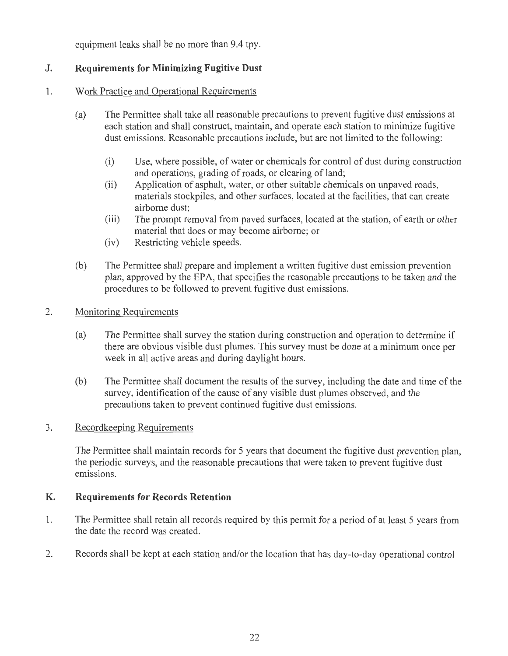equipment leaks shall be no more than 9.4 tpy.

# **J. Requirements for Minimizing Fugitive Dust**

# 1. Work Practice and Operational Requirements

- (a) The Permittee shall take all reasonable precautions to prevent fugitive dust emissions at each station and shall construct, maintain, and operate each station to minimize fugitive dust emissions. Reasonable precautions include, but are not limited to the following:
	- (i) Use, where possible, of water or chemicals for control of dust during construction and operations, grading of roads, or clearing of land;
	- (ii) Application of asphalt, water, or other suitable chemicals on unpaved roads, materials stockpiles, and other surfaces, located at the facilities, that can create airborne dust;
	- (iii) The prompt removal from paved surfaces, located at the station, of earth or other material that does or may become airborne; or
	- (iv) Restricting vehicle speeds.
- (b) The Permittee shall prepare and implement a written fugitive dust emission prevention plan, approved by the EPA, that specifies the reasonable precautions to be taken and the procedures to be followed to prevent fugitive dust emissions.

## 2. Monitoring Requirements

- (a) The Permittee shall survey the station during construction and operation to determine if there are obvious visible dust plumes. This survey must be done at a minimum once per week in all active areas and during daylight hours.
- (b) The Permittee shall document the results of the survey, including the date and time of the survey, identification of the cause of any visible dust plumes observed, and the precautions taken to prevent continued fugitive dust emissions.

# 3. Recordkeeping Requirements

The Permittee shall maintain records for 5 years that document the fugitive dust prevention plan, the periodic surveys, and the reasonable precautions that were taken to prevent fugitive dust emissions.

# **K. Requirements for Records Retention**

- 1. The Permittee shall retain all records required by this permit for a period of at least 5 years from the date the record was created.
- 2. Records shall be kept at each station and/or the location that has day-to-day operational control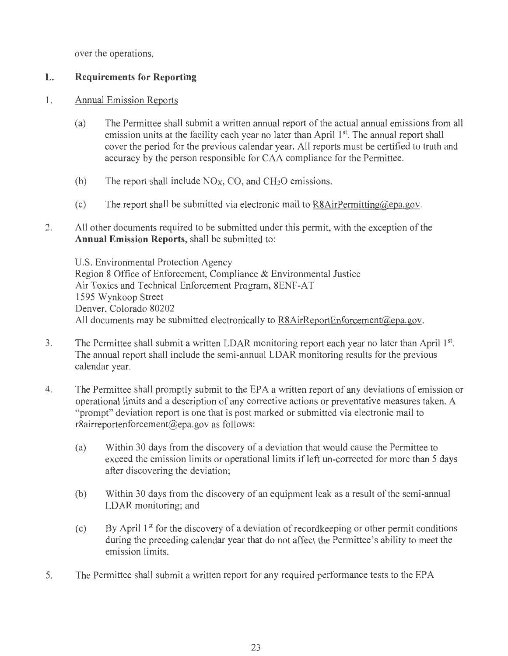over the operations.

# **L. Requirements for Reporting**

## 1. Annual Emission Reports

- (a) The Permittee shall submit a written annual report of the actual annual emissions from all emission units at the facility each year no later than April 1<sup>st</sup>. The annual report shall cover the period for the previous calendar year. All reports must be certified to truth and accuracy by the person responsible for CAA compliance for the Permittee.
- (b) The report shall include  $NO<sub>X</sub>$ , CO, and CH<sub>2</sub>O emissions.
- (c) The report shall be submitted via electronic mail to  $R8AirPermitting@epa.gov$ .
- 2. All other documents required to be submitted under this permit, with the exception of the **Annual Emission Reports,** shall be submitted to:

U.S. Environmental Protection Agency Region 8 Office of Enforcement, Compliance & Environmental Justice Air Toxics and Technical Enforcement Program, 8ENF-AT 1595 Wynkoop Street Denver, Colorado 80202 All documents may be submitted electronically to  $R8A$ ir $Re$  portEnforcement $@$ epa.gov.

- 3. The Permittee shall submit a written LDAR monitoring report each year no later than April  $1<sup>st</sup>$ . The annual report shall include the semi-annual LDAR monitoring results for the previous calendar year.
- 4. The Permittee shall promptly submit to the EPA a written report of any deviations of emission or operational limits and a description of any corrective actions or preventative measures taken. A "prompt" deviation report is one that is post marked or submitted via electronic mail to r8airreportenforcement@epa.gov as follows:
	- (a) Within 30 days from the discovery of a deviation that would cause the Permittee to exceed the emission limits or operational limits if left un-corrected for more than 5 days after discovering the deviation;
	- (b) Within 30 days from the discovery of an equipment leak as a result of the semi-annual LDAR monitoring; and
	- (c) By April  $1<sup>st</sup>$  for the discovery of a deviation of record keeping or other permit conditions during the preceding calendar year that do not affect the Permittee's ability to meet the emission limits.
- 5. The Permittee shall submit a written report for any required performance tests to the EPA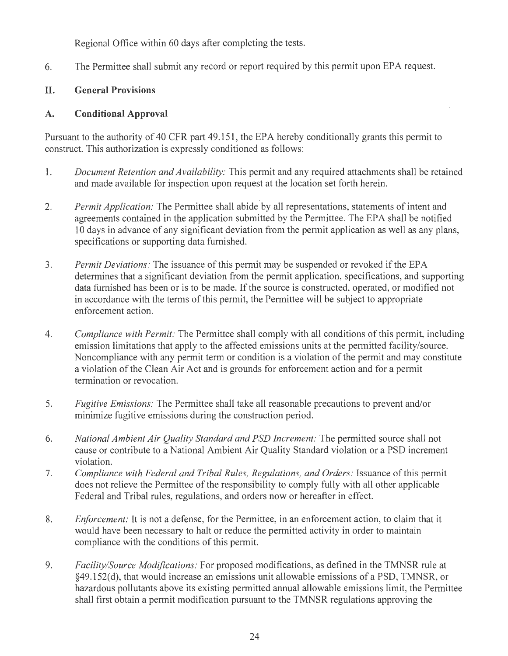Regional Office within 60 days after completing the tests.

6. The Permittee shall submit any record or report required by this permit upon EPA request.

# **II. General Provisions**

# **A. Conditional Approval**

Pursuant to the authority of 40 CFR part 49 .151 , the EPA hereby conditionally grants this permit to construct. This authorization is expressly conditioned as follows:

- l. *Document Retention and Availability:* This permit and any required attachments shall be retained and made available for inspection upon request at the location set forth herein.
- 2. *Permit Application:* The Permittee shall abide by all representations, statements of intent and agreements contained in the application submitted by the Permittee. The EPA shall be notified 10 days in advance of any significant deviation from the permit application as well as any plans, specifications or supporting data furnished.
- 3. *Permit Deviations:* The issuance of this permit may be suspended or revoked if the EPA determines that a significant deviation from the permit application, specifications, and supporting data furnished has been or is to be made. If the source is constructed, operated, or modified not in accordance with the terms of this permit, the Permittee will be subject to appropriate enforcement action.
- 4. *Compliance with Permit:* The Permittee shall comply with all conditions of this permit, including emission limitations that apply to the affected emissions units at the permitted facility/source. Noncompliance with any permit term or condition is a violation of the permit and may constitute a violation of the Clean Air Act and is grounds for enforcement action and for a permit termination or revocation.
- 5. *Fugitive Emissions:* The Permittee shall take all reasonable precautions to prevent and/or minimize fugitive emissions during the construction period.
- 6. *National Ambient Air Quality Standard and PSD Increment:* The permitted source shall not cause or contribute to a National Ambient Air Quality Standard violation or a PSD increment violation.
- 7. *Compliance with Federal and Tribal Rules, Regulations, and Orders:* Issuance of this permit does not relieve the Permittee of the responsibility to comply fully with all other applicable Federal and Tribal rules, regulations, and orders now or hereafter in effect.
- 8. *Enforcement:* It is not a defense, for the Permittee, in an enforcement action, to claim that it would have been necessary to halt or reduce the permitted activity in order to maintain compliance with the conditions of this permit.
- 9. *Facility/Source Modifications:* For proposed modifications, as defined in the TMNSR rule at §49.152(d), that would increase an emissions unit allowable emissions of a PSD, TMNSR, or hazardous pollutants above its existing permitted annual allowable emissions limit, the Permittee shall first obtain a permit modification pursuant to the TMNSR regulations approving the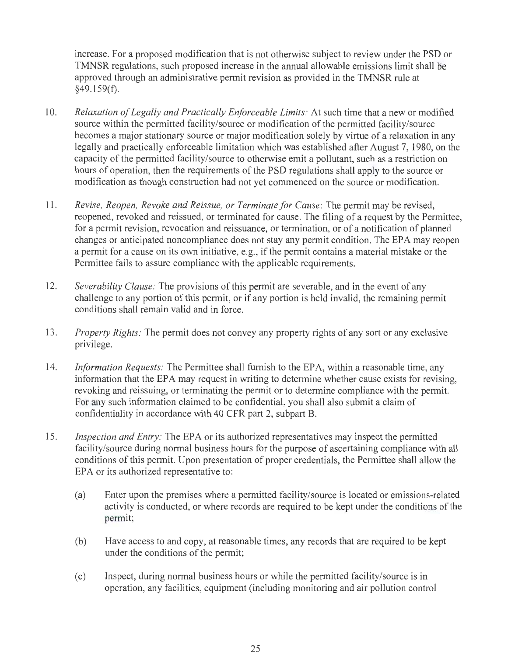increase. For a proposed modification that is not otherwise subject to review under the PSD or TMNSR regulations, such proposed increase in the annual allowable emissions limit shall be approved through an administrative permit revision as provided in the TMNSR rule at  $§49.159(f).$ 

- 10. *Relaxation of Legally and Practically Enforceable Limits:* At such time that a new or modified source within the permitted facility/source or modification of the permitted facility/source becomes a major stationary source or major modification solely by virtue of a relaxation in any legally and practically enforceable limitation which was established after August 7, 1980, on the capacity of the permitted facility/source to otherwise emit a pollutant, such as a restriction on hours of operation, then the requirements of the PSD regulations shall apply to the source or modification as though construction had not yet commenced on the source or modification.
- 11. *Revise, Reopen, Revoke and Reissue, or Terminate for Cause:* The permit may be revised, reopened, revoked and reissued, or terminated for cause. The filing of a request by the Permittee, for a permit revision, revocation and reissuance, or termination, or of a notification of planned changes or anticipated noncompliance does not stay any permit condition. The EPA may reopen a permit for a cause on its own initiative, e.g., if the permit contains a material mistake or the Permittee fails to assure compliance with the applicable requirements.
- 12. *Severability Clause:* The provisions of this permit are severable, and in the event of any challenge to any portion of this permit, or if any portion is held invalid, the remaining permit conditions shall remain valid and in force.
- 13. *Property Rights:* The permit does not convey any property rights of any sort or any exclusive privilege.
- 14. *Information Requests:* The Permittee shall furnish to the EPA, within a reasonable time, any information that the EPA may request in writing to determine whether cause exists for revising, revoking and reissuing, or terminating the permit or to determine compliance with the permit. For any such information claimed to be confidential, you shall also submit a claim of confidentiality in accordance with 40 CFR part 2, subpart B.
- 15. *Inspection and Entry:* The EPA or its authorized representatives may inspect the permitted facility/source during normal business hours for the purpose of ascertaining compliance with all conditions of this permit. Upon presentation of proper credentials, the Permittee shall allow the EPA or its authorized representative to:
	- (a) Enter upon the premises where a permitted facility/source is located or emissions-related activity is conducted, or where records are required to be kept under the conditions of the permit;
	- (b) Have access to and copy, at reasonable times, any records that are required to be kept under the conditions of the permit;
	- (c) Inspect, during normal business hours or while the permitted facility/source is in operation, any facilities, equipment (including monitoring and air pollution control